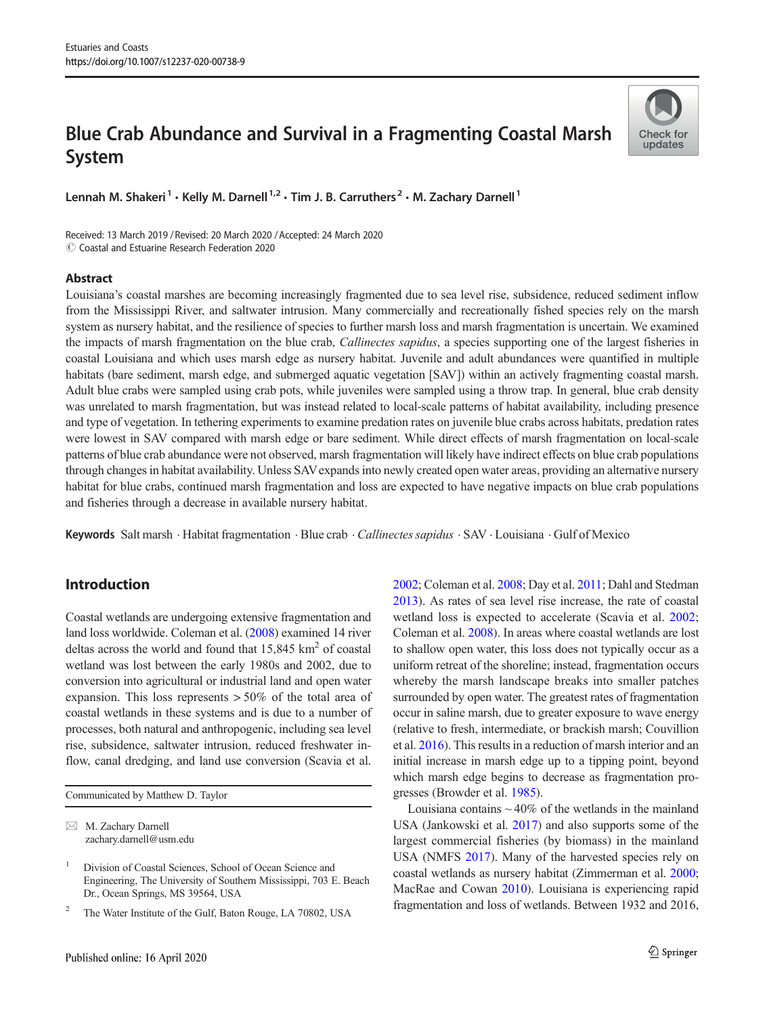# Blue Crab Abundance and Survival in a Fragmenting Coastal Marsh System



Lennah M. Shakeri<sup>1</sup> · Kelly M. Darnell<sup>1,2</sup> · Tim J. B. Carruthers<sup>2</sup> · M. Zachary Darnell<sup>1</sup>

Received: 13 March 2019 / Revised: 20 March 2020 /Accepted: 24 March 2020  $\circ$  Coastal and Estuarine Research Federation 2020

## Abstract

Louisiana's coastal marshes are becoming increasingly fragmented due to sea level rise, subsidence, reduced sediment inflow from the Mississippi River, and saltwater intrusion. Many commercially and recreationally fished species rely on the marsh system as nursery habitat, and the resilience of species to further marsh loss and marsh fragmentation is uncertain. We examined the impacts of marsh fragmentation on the blue crab, *Callinectes sapidus*, a species supporting one of the largest fisheries in coastal Louisiana and which uses marsh edge as nursery habitat. Juvenile and adult abundances were quantified in multiple habitats (bare sediment, marsh edge, and submerged aquatic vegetation [SAV]) within an actively fragmenting coastal marsh. Adult blue crabs were sampled using crab pots, while juveniles were sampled using a throw trap. In general, blue crab density was unrelated to marsh fragmentation, but was instead related to local-scale patterns of habitat availability, including presence and type of vegetation. In tethering experiments to examine predation rates on juvenile blue crabs across habitats, predation rates were lowest in SAV compared with marsh edge or bare sediment. While direct effects of marsh fragmentation on local-scale patterns of blue crab abundance were not observed, marsh fragmentation will likely have indirect effects on blue crab populations through changes in habitat availability. Unless SAVexpands into newly created open water areas, providing an alternative nursery habitat for blue crabs, continued marsh fragmentation and loss are expected to have negative impacts on blue crab populations and fisheries through a decrease in available nursery habitat.

Keywords Salt marsh · Habitat fragmentation · Blue crab · Callinectes sapidus · SAV · Louisiana · Gulf of Mexico

# Introduction

Coastal wetlands are undergoing extensive fragmentation and land loss worldwide. Coleman et al. [\(2008\)](#page-9-0) examined 14 river deltas across the world and found that  $15,845 \text{ km}^2$  of coastal wetland was lost between the early 1980s and 2002, due to conversion into agricultural or industrial land and open water expansion. This loss represents > 50% of the total area of coastal wetlands in these systems and is due to a number of processes, both natural and anthropogenic, including sea level rise, subsidence, saltwater intrusion, reduced freshwater inflow, canal dredging, and land use conversion (Scavia et al.

Communicated by Matthew D. Taylor

 $\boxtimes$  M. Zachary Darnell [zachary.darnell@usm.edu](mailto:zachary.darnell@usm.edu) [2002;](#page-10-0) Coleman et al. [2008;](#page-9-0) Day et al. [2011;](#page-9-0) Dahl and Stedman [2013\)](#page-9-0). As rates of sea level rise increase, the rate of coastal wetland loss is expected to accelerate (Scavia et al. [2002;](#page-10-0) Coleman et al. [2008](#page-9-0)). In areas where coastal wetlands are lost to shallow open water, this loss does not typically occur as a uniform retreat of the shoreline; instead, fragmentation occurs whereby the marsh landscape breaks into smaller patches surrounded by open water. The greatest rates of fragmentation occur in saline marsh, due to greater exposure to wave energy (relative to fresh, intermediate, or brackish marsh; Couvillion et al. [2016\)](#page-9-0). This results in a reduction of marsh interior and an initial increase in marsh edge up to a tipping point, beyond which marsh edge begins to decrease as fragmentation progresses (Browder et al. [1985](#page-9-0)).

Louisiana contains  $\sim$  40% of the wetlands in the mainland USA (Jankowski et al. [2017\)](#page-9-0) and also supports some of the largest commercial fisheries (by biomass) in the mainland USA (NMFS [2017](#page-10-0)). Many of the harvested species rely on coastal wetlands as nursery habitat (Zimmerman et al. [2000;](#page-10-0) MacRae and Cowan [2010](#page-10-0)). Louisiana is experiencing rapid fragmentation and loss of wetlands. Between 1932 and 2016,

<sup>1</sup> Division of Coastal Sciences, School of Ocean Science and Engineering, The University of Southern Mississippi, 703 E. Beach Dr., Ocean Springs, MS 39564, USA

<sup>2</sup> The Water Institute of the Gulf, Baton Rouge, LA 70802, USA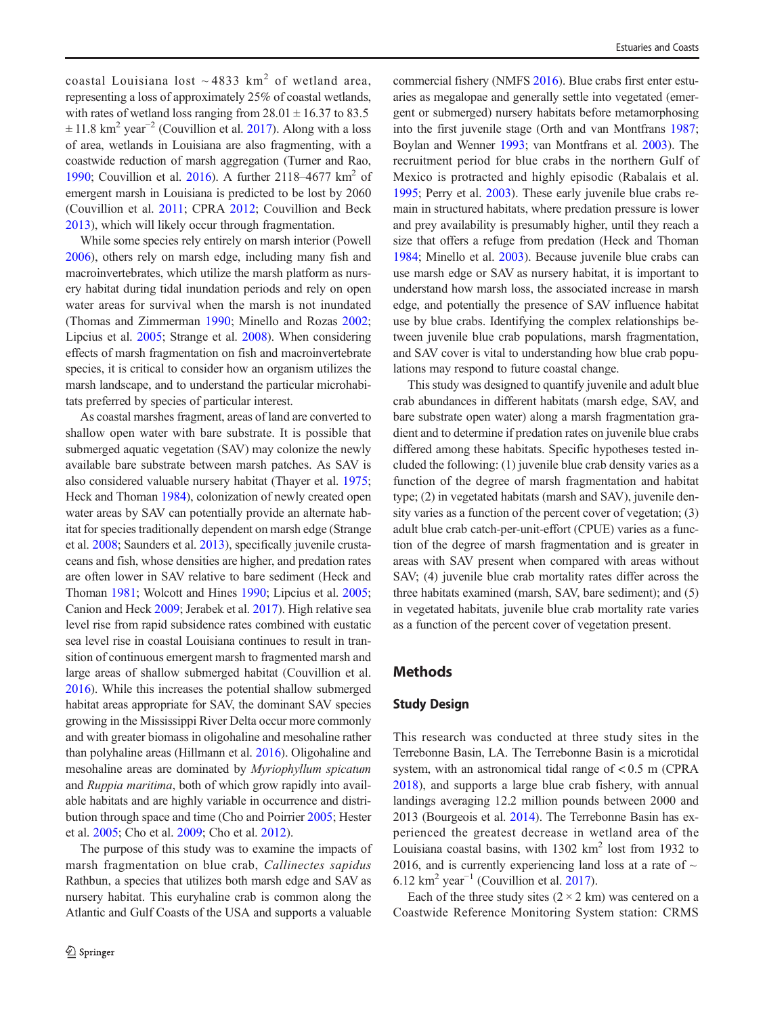coastal Louisiana lost  $\sim$  4833 km<sup>2</sup> of wetland area, representing a loss of approximately 25% of coastal wetlands, with rates of wetland loss ranging from  $28.01 \pm 16.37$  to 83.5  $\pm$  11.8 km<sup>2</sup> year<sup>-2</sup> (Couvillion et al. [2017\)](#page-9-0). Along with a loss of area, wetlands in Louisiana are also fragmenting, with a coastwide reduction of marsh aggregation (Turner and Rao, [1990;](#page-10-0) Couvillion et al. [2016\)](#page-9-0). A further  $2118-4677$  km<sup>2</sup> of emergent marsh in Louisiana is predicted to be lost by 2060 (Couvillion et al. [2011](#page-9-0); CPRA [2012;](#page-9-0) Couvillion and Beck [2013\)](#page-9-0), which will likely occur through fragmentation.

While some species rely entirely on marsh interior (Powell [2006\)](#page-10-0), others rely on marsh edge, including many fish and macroinvertebrates, which utilize the marsh platform as nursery habitat during tidal inundation periods and rely on open water areas for survival when the marsh is not inundated (Thomas and Zimmerman [1990;](#page-10-0) Minello and Rozas [2002](#page-10-0); Lipcius et al. [2005](#page-10-0); Strange et al. [2008](#page-10-0)). When considering effects of marsh fragmentation on fish and macroinvertebrate species, it is critical to consider how an organism utilizes the marsh landscape, and to understand the particular microhabitats preferred by species of particular interest.

As coastal marshes fragment, areas of land are converted to shallow open water with bare substrate. It is possible that submerged aquatic vegetation (SAV) may colonize the newly available bare substrate between marsh patches. As SAV is also considered valuable nursery habitat (Thayer et al. [1975](#page-10-0); Heck and Thoman [1984](#page-9-0)), colonization of newly created open water areas by SAV can potentially provide an alternate habitat for species traditionally dependent on marsh edge (Strange et al. [2008;](#page-10-0) Saunders et al. [2013](#page-10-0)), specifically juvenile crustaceans and fish, whose densities are higher, and predation rates are often lower in SAV relative to bare sediment (Heck and Thoman [1981](#page-9-0); Wolcott and Hines [1990](#page-10-0); Lipcius et al. [2005](#page-10-0); Canion and Heck [2009;](#page-9-0) Jerabek et al. [2017\)](#page-9-0). High relative sea level rise from rapid subsidence rates combined with eustatic sea level rise in coastal Louisiana continues to result in transition of continuous emergent marsh to fragmented marsh and large areas of shallow submerged habitat (Couvillion et al. [2016\)](#page-9-0). While this increases the potential shallow submerged habitat areas appropriate for SAV, the dominant SAV species growing in the Mississippi River Delta occur more commonly and with greater biomass in oligohaline and mesohaline rather than polyhaline areas (Hillmann et al. [2016\)](#page-9-0). Oligohaline and mesohaline areas are dominated by Myriophyllum spicatum and Ruppia maritima, both of which grow rapidly into available habitats and are highly variable in occurrence and distribution through space and time (Cho and Poirrier [2005](#page-9-0); Hester et al. [2005](#page-9-0); Cho et al. [2009](#page-9-0); Cho et al. [2012\)](#page-9-0).

The purpose of this study was to examine the impacts of marsh fragmentation on blue crab, Callinectes sapidus Rathbun, a species that utilizes both marsh edge and SAV as nursery habitat. This euryhaline crab is common along the Atlantic and Gulf Coasts of the USA and supports a valuable

commercial fishery (NMFS [2016\)](#page-10-0). Blue crabs first enter estuaries as megalopae and generally settle into vegetated (emergent or submerged) nursery habitats before metamorphosing into the first juvenile stage (Orth and van Montfrans [1987;](#page-10-0) Boylan and Wenner [1993;](#page-9-0) van Montfrans et al. [2003\)](#page-10-0). The recruitment period for blue crabs in the northern Gulf of Mexico is protracted and highly episodic (Rabalais et al. [1995;](#page-10-0) Perry et al. [2003](#page-10-0)). These early juvenile blue crabs remain in structured habitats, where predation pressure is lower and prey availability is presumably higher, until they reach a size that offers a refuge from predation (Heck and Thoman [1984;](#page-9-0) Minello et al. [2003](#page-10-0)). Because juvenile blue crabs can use marsh edge or SAV as nursery habitat, it is important to understand how marsh loss, the associated increase in marsh edge, and potentially the presence of SAV influence habitat use by blue crabs. Identifying the complex relationships between juvenile blue crab populations, marsh fragmentation, and SAV cover is vital to understanding how blue crab populations may respond to future coastal change.

This study was designed to quantify juvenile and adult blue crab abundances in different habitats (marsh edge, SAV, and bare substrate open water) along a marsh fragmentation gradient and to determine if predation rates on juvenile blue crabs differed among these habitats. Specific hypotheses tested included the following: (1) juvenile blue crab density varies as a function of the degree of marsh fragmentation and habitat type; (2) in vegetated habitats (marsh and SAV), juvenile density varies as a function of the percent cover of vegetation; (3) adult blue crab catch-per-unit-effort (CPUE) varies as a function of the degree of marsh fragmentation and is greater in areas with SAV present when compared with areas without SAV; (4) juvenile blue crab mortality rates differ across the three habitats examined (marsh, SAV, bare sediment); and (5) in vegetated habitats, juvenile blue crab mortality rate varies as a function of the percent cover of vegetation present.

# Methods

#### Study Design

This research was conducted at three study sites in the Terrebonne Basin, LA. The Terrebonne Basin is a microtidal system, with an astronomical tidal range of < 0.5 m (CPRA [2018](#page-9-0)), and supports a large blue crab fishery, with annual landings averaging 12.2 million pounds between 2000 and 2013 (Bourgeois et al. [2014\)](#page-9-0). The Terrebonne Basin has experienced the greatest decrease in wetland area of the Louisiana coastal basins, with  $1302 \text{ km}^2$  lost from 1932 to 2016, and is currently experiencing land loss at a rate of  $\sim$ 6.12 km<sup>2</sup> year<sup>-1</sup> (Couvillion et al. [2017](#page-9-0)).

Each of the three study sites  $(2 \times 2 \text{ km})$  was centered on a Coastwide Reference Monitoring System station: CRMS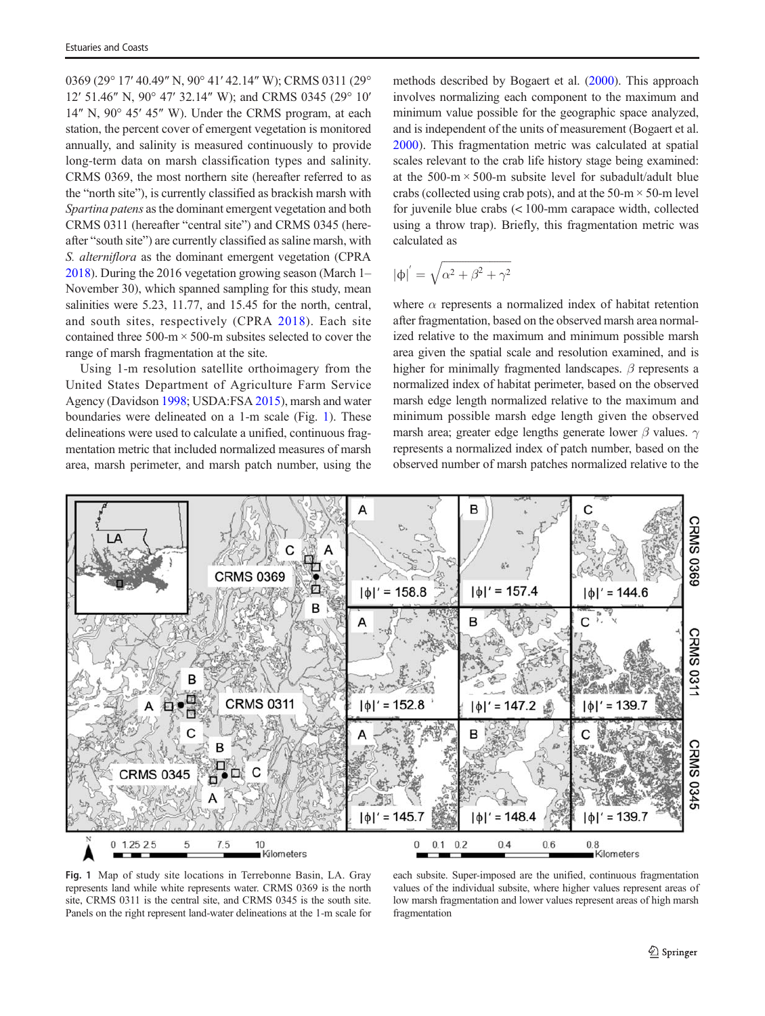<span id="page-2-0"></span>0369 (29° 17′ 40.49″ N, 90° 41′ 42.14″ W); CRMS 0311 (29° 12′ 51.46″ N, 90° 47′ 32.14″ W); and CRMS 0345 (29° 10′ 14″ N, 90° 45′ 45″ W). Under the CRMS program, at each station, the percent cover of emergent vegetation is monitored annually, and salinity is measured continuously to provide long-term data on marsh classification types and salinity. CRMS 0369, the most northern site (hereafter referred to as the "north site"), is currently classified as brackish marsh with Spartina patens as the dominant emergent vegetation and both CRMS 0311 (hereafter "central site") and CRMS 0345 (hereafter "south site") are currently classified as saline marsh, with S. alterniflora as the dominant emergent vegetation (CPRA [2018\)](#page-9-0). During the 2016 vegetation growing season (March 1– November 30), which spanned sampling for this study, mean salinities were 5.23, 11.77, and 15.45 for the north, central, and south sites, respectively (CPRA [2018](#page-9-0)). Each site contained three  $500-m \times 500-m$  subsites selected to cover the range of marsh fragmentation at the site.

Using 1-m resolution satellite orthoimagery from the United States Department of Agriculture Farm Service Agency (Davidson [1998](#page-9-0); USDA:FSA [2015\)](#page-10-0), marsh and water boundaries were delineated on a 1-m scale (Fig. 1). These delineations were used to calculate a unified, continuous fragmentation metric that included normalized measures of marsh area, marsh perimeter, and marsh patch number, using the

methods described by Bogaert et al. ([2000](#page-9-0)). This approach involves normalizing each component to the maximum and minimum value possible for the geographic space analyzed, and is independent of the units of measurement (Bogaert et al. [2000](#page-9-0)). This fragmentation metric was calculated at spatial scales relevant to the crab life history stage being examined: at the 500-m  $\times$  500-m subsite level for subadult/adult blue crabs (collected using crab pots), and at the  $50-m \times 50-m$  level for juvenile blue crabs (< 100-mm carapace width, collected using a throw trap). Briefly, this fragmentation metric was calculated as

$$
|\varphi|^{'}=\sqrt{\alpha^2+\beta^2+\gamma^2}
$$

where  $\alpha$  represents a normalized index of habitat retention after fragmentation, based on the observed marsh area normalized relative to the maximum and minimum possible marsh area given the spatial scale and resolution examined, and is higher for minimally fragmented landscapes.  $\beta$  represents a normalized index of habitat perimeter, based on the observed marsh edge length normalized relative to the maximum and minimum possible marsh edge length given the observed marsh area; greater edge lengths generate lower  $\beta$  values.  $\gamma$ represents a normalized index of patch number, based on the observed number of marsh patches normalized relative to the



Fig. 1 Map of study site locations in Terrebonne Basin, LA. Gray represents land while white represents water. CRMS 0369 is the north site, CRMS 0311 is the central site, and CRMS 0345 is the south site. Panels on the right represent land-water delineations at the 1-m scale for

each subsite. Super-imposed are the unified, continuous fragmentation values of the individual subsite, where higher values represent areas of low marsh fragmentation and lower values represent areas of high marsh fragmentation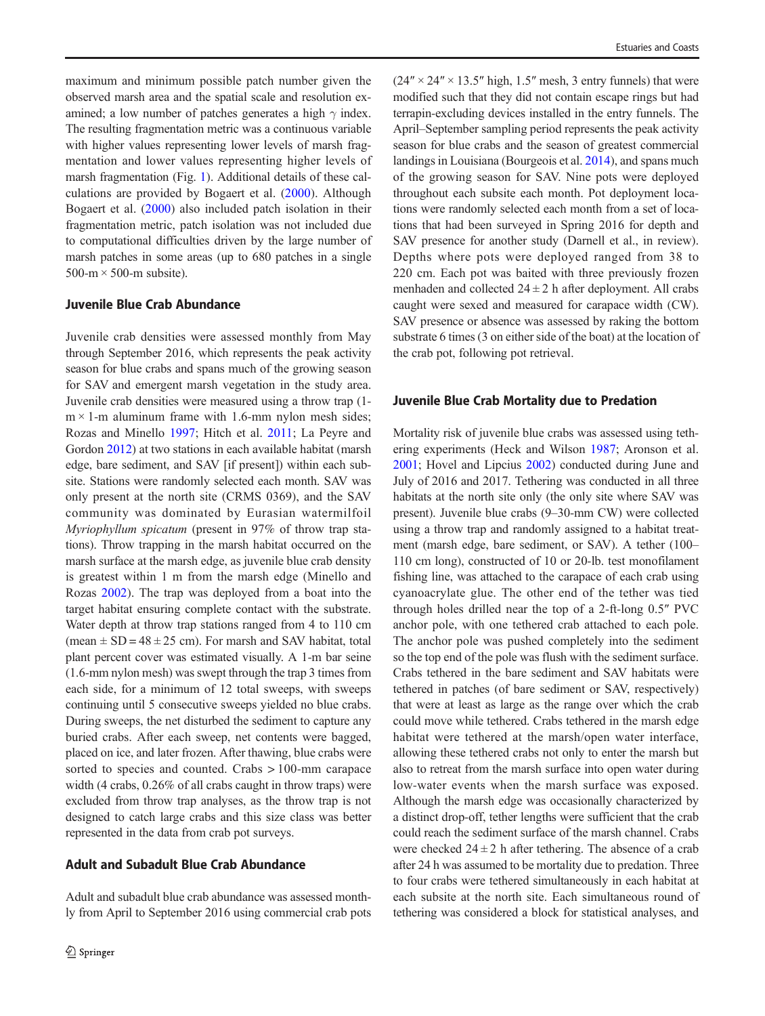maximum and minimum possible patch number given the observed marsh area and the spatial scale and resolution examined; a low number of patches generates a high  $\gamma$  index. The resulting fragmentation metric was a continuous variable with higher values representing lower levels of marsh fragmentation and lower values representing higher levels of marsh fragmentation (Fig. [1\)](#page-2-0). Additional details of these calculations are provided by Bogaert et al. ([2000\)](#page-9-0). Although Bogaert et al. [\(2000](#page-9-0)) also included patch isolation in their fragmentation metric, patch isolation was not included due to computational difficulties driven by the large number of marsh patches in some areas (up to 680 patches in a single  $500-m \times 500-m$  subsite).

## Juvenile Blue Crab Abundance

Juvenile crab densities were assessed monthly from May through September 2016, which represents the peak activity season for blue crabs and spans much of the growing season for SAV and emergent marsh vegetation in the study area. Juvenile crab densities were measured using a throw trap (1  $m \times 1$ -m aluminum frame with 1.6-mm nylon mesh sides; Rozas and Minello [1997](#page-10-0); Hitch et al. [2011;](#page-9-0) La Peyre and Gordon [2012\)](#page-9-0) at two stations in each available habitat (marsh edge, bare sediment, and SAV [if present]) within each subsite. Stations were randomly selected each month. SAV was only present at the north site (CRMS 0369), and the SAV community was dominated by Eurasian watermilfoil Myriophyllum spicatum (present in 97% of throw trap stations). Throw trapping in the marsh habitat occurred on the marsh surface at the marsh edge, as juvenile blue crab density is greatest within 1 m from the marsh edge (Minello and Rozas [2002\)](#page-10-0). The trap was deployed from a boat into the target habitat ensuring complete contact with the substrate. Water depth at throw trap stations ranged from 4 to 110 cm (mean  $\pm$  SD = 48  $\pm$  25 cm). For marsh and SAV habitat, total plant percent cover was estimated visually. A 1-m bar seine (1.6-mm nylon mesh) was swept through the trap 3 times from each side, for a minimum of 12 total sweeps, with sweeps continuing until 5 consecutive sweeps yielded no blue crabs. During sweeps, the net disturbed the sediment to capture any buried crabs. After each sweep, net contents were bagged, placed on ice, and later frozen. After thawing, blue crabs were sorted to species and counted. Crabs > 100-mm carapace width (4 crabs, 0.26% of all crabs caught in throw traps) were excluded from throw trap analyses, as the throw trap is not designed to catch large crabs and this size class was better represented in the data from crab pot surveys.

# Adult and Subadult Blue Crab Abundance

Adult and subadult blue crab abundance was assessed monthly from April to September 2016 using commercial crab pots

 $(24'' \times 24'' \times 13.5''$  high, 1.5" mesh, 3 entry funnels) that were modified such that they did not contain escape rings but had terrapin-excluding devices installed in the entry funnels. The April–September sampling period represents the peak activity season for blue crabs and the season of greatest commercial landings in Louisiana (Bourgeois et al. [2014](#page-9-0)), and spans much of the growing season for SAV. Nine pots were deployed throughout each subsite each month. Pot deployment locations were randomly selected each month from a set of locations that had been surveyed in Spring 2016 for depth and SAV presence for another study (Darnell et al., in review). Depths where pots were deployed ranged from 38 to 220 cm. Each pot was baited with three previously frozen menhaden and collected  $24 \pm 2$  h after deployment. All crabs caught were sexed and measured for carapace width (CW). SAV presence or absence was assessed by raking the bottom substrate 6 times (3 on either side of the boat) at the location of the crab pot, following pot retrieval.

#### Juvenile Blue Crab Mortality due to Predation

Mortality risk of juvenile blue crabs was assessed using tethering experiments (Heck and Wilson [1987;](#page-9-0) Aronson et al. [2001;](#page-9-0) Hovel and Lipcius [2002](#page-9-0)) conducted during June and July of 2016 and 2017. Tethering was conducted in all three habitats at the north site only (the only site where SAV was present). Juvenile blue crabs (9–30-mm CW) were collected using a throw trap and randomly assigned to a habitat treatment (marsh edge, bare sediment, or SAV). A tether (100– 110 cm long), constructed of 10 or 20-lb. test monofilament fishing line, was attached to the carapace of each crab using cyanoacrylate glue. The other end of the tether was tied through holes drilled near the top of a 2-ft-long 0.5″ PVC anchor pole, with one tethered crab attached to each pole. The anchor pole was pushed completely into the sediment so the top end of the pole was flush with the sediment surface. Crabs tethered in the bare sediment and SAV habitats were tethered in patches (of bare sediment or SAV, respectively) that were at least as large as the range over which the crab could move while tethered. Crabs tethered in the marsh edge habitat were tethered at the marsh/open water interface, allowing these tethered crabs not only to enter the marsh but also to retreat from the marsh surface into open water during low-water events when the marsh surface was exposed. Although the marsh edge was occasionally characterized by a distinct drop-off, tether lengths were sufficient that the crab could reach the sediment surface of the marsh channel. Crabs were checked  $24 \pm 2$  h after tethering. The absence of a crab after 24 h was assumed to be mortality due to predation. Three to four crabs were tethered simultaneously in each habitat at each subsite at the north site. Each simultaneous round of tethering was considered a block for statistical analyses, and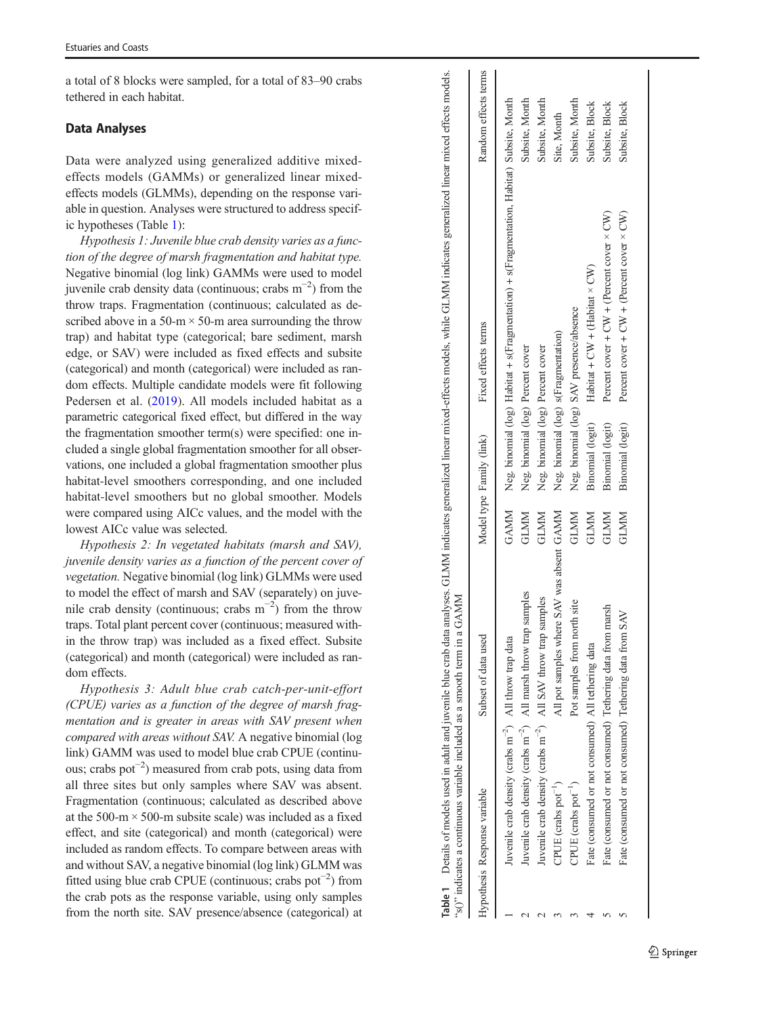a total of 8 blocks were sampled, for a total of 83 –90 crabs tethered in each habitat.

# Data Analyses

Data were analyzed using generalized additive mixedeffects models (GAMMs) or generalized linear mixedeffects models (GLMMs), depending on the response variable in question. Analyses were structured to address specific hypotheses (Table 1):

Hypothesis 1: Juvenile blue crab density varies as a function of the degree of marsh fragmentation and habitat type. Negative binomial (log link) GAMMs were used to model juvenile crab density data (continuous; crabs  $m^{-2}$ ) from the throw traps. Fragmentation (continuous; calculated as described above in a 50-m  $\times$  50-m area surrounding the throw trap) and habitat type (categorical; bare sediment, marsh edge, or SAV) were included as fixed effects and subsite (categorical) and month (categorical) were included as random effects. Multiple candidate models were fit following Pedersen et al. [\(2019](#page-10-0)). All models included habitat as a parametric categorical fixed effect, but differed in the way the fragmentation smoother term(s) were specified: one included a single global fragmentation smoother for all observations, one included a global fragmentation smoother plus habitat-level smoothers corresponding, and one included habitat-level smoothers but no global smoother. Models were compared using AICc values, and the model with the lowest AICc value was selected.

Hypothesis 2: In vegetated habitats (marsh and SAV), juvenile density varies as a function of the percent cover of vegetation. Negative binomial (log link) GLMMs were used to model the effect of marsh and SAV (separately) on juvenile crab density (continuous; crabs  $m^{-2}$ ) from the throw traps. Total plant percent cover (continuous; measured within the throw trap) was included as a fixed effect. Subsite (categorical) and month (categorical) were included as random effects.

Hypothesis 3: Adult blue crab catch-per-unit-effort (CPUE) varies as a function of the degree of marsh fragmentation and is greater in areas with SAV present when compared with areas without SAV. A negative binomial (log link) GAMM was used to model blue crab CPUE (continuous; crabs pot−<sup>2</sup> ) measured from crab pots, using data from all three sites but only samples where SAV was absent. Fragmentation (continuous; calculated as described above at the 500-m $\times$  500-m subsite scale) was included as a fixed effect, and site (categorical) and month (categorical) were included as random effects. To compare between areas with and without SAV, a negative binomial (log link) GLMM was fitted using blue crab CPUE (continuous; crabs pot<sup>−</sup> 2 ) from the crab pots as the response variable, using only samples from the north site. SAV presence/absence (categorical) at

Random effects terms Hypothesis Response variable Subset of data used Model type Family (link) Fixed effects terms Random effects terms Neg. binomial (log) Habitat + s(Fragmentation) + s(Fragmentation, Habitat) Subsite, Month 1 Juvenile crab density (crabs m−2) All throw trap data GAMM Neg. binomial (log) Habitat + s(Fragmentation) + s(Fragmentation, Habitat) Subsite, Month Subsite, Month 2 Juvenile crab density (crabs m−2) All marsh throw trap samples GLMM Neg. binomial (log) Percent cover Subsite, Month Subsite, Month 2 Juvenile crab density (crabs m−2) All SAV throw trap samples GLMM Neg. binomial (log) Percent cover Subsite, Month Subsite, Month 3 CPUE (crabs pot−1) Pot samples from north site GLMM Neg. binomial (log) SAV presence/absence Subsite, Month Subsite, Block Subsite, Block 4 Fate (consumed or not consumed) All tethering data GLMM Binomial (logit) Habitat + CW + (Habitat × CW) Subsite, Block 5 Fate (consumed or not consumed) Tethering data from marsh GLMM Binomial (logit) Percent cover + CW + (Percent cover × CW) Subsite, Block Subsite, Block 5 Fate (consumed or not consumed) Tethering data from SAV GLMM Binomial (logit) Percent cover + CW + (Percent cover × CW) Subsite, Block Site, Month 3 CPUE (crabs pot−1) All pot samples where SAV was absent GAMM Neg. binomial (log) s(Fragmentation) Site, Month Percent cover +  $CW$  + (Percent cover  $\times$  CW) Percent cover +  $CW$  + (Percent cover  $\times$  CW) Habitat +  $CW$  + (Habitat  $\times$  CW) SAV presence/absence Fixed effects terms Neg. binomial (log) s(Fragmentation) Neg. binomial (log) Percent cover Neg. binomial (log) Percent cover Neg. binomial (log) Binomial (logit) Binomial (logit) Binomial (logit) Model type Family (link) **GLMM GLMM** All pot samples where SAV was absent GAMM **GLMM GLMM GLMM GLMM** GAMM All marsh throw trap samples 's()" indicates a continuous variable included as a smooth term in a GAMM "s()" indicates a continuous variable included as a smooth term in a GAMM All SAV throw trap samples Pot samples from north site ate (consumed or not consumed) Tethering data from marsh Tethering data from SAV Subset of data used All throw trap data Fate (consumed or not consumed) All tethering data Fate (consumed or not consumed) luvenile crab density (crabs  $\mathrm{m}^{-2})$ luvenile crab density (crabs  $m^{-2}$ ) twenile crab density (crabs  $m^{-2}$ ) CPUE (crabs  $pot^{-1}$ ) CPUE (crabs  $pot^{-1}$ ) Hypothesis Response variable  $\sim$  $\sim$  $\omega$  $\sim$  $\sqrt{2}$  $\overline{4}$  $\sim$ 

Table 1 Details of models used in adult and juvenile blue crab data analyses. GLMM indicates generalized linear mixed-effects models, while GLMM indicates generalized linear mixed effects models.

Table 1

Details of models used in adult and juvenile blue crab data analyses. GLMM indicates generalized linear mixed-effects models, while GLMM indicates generalized linear mixed effects models.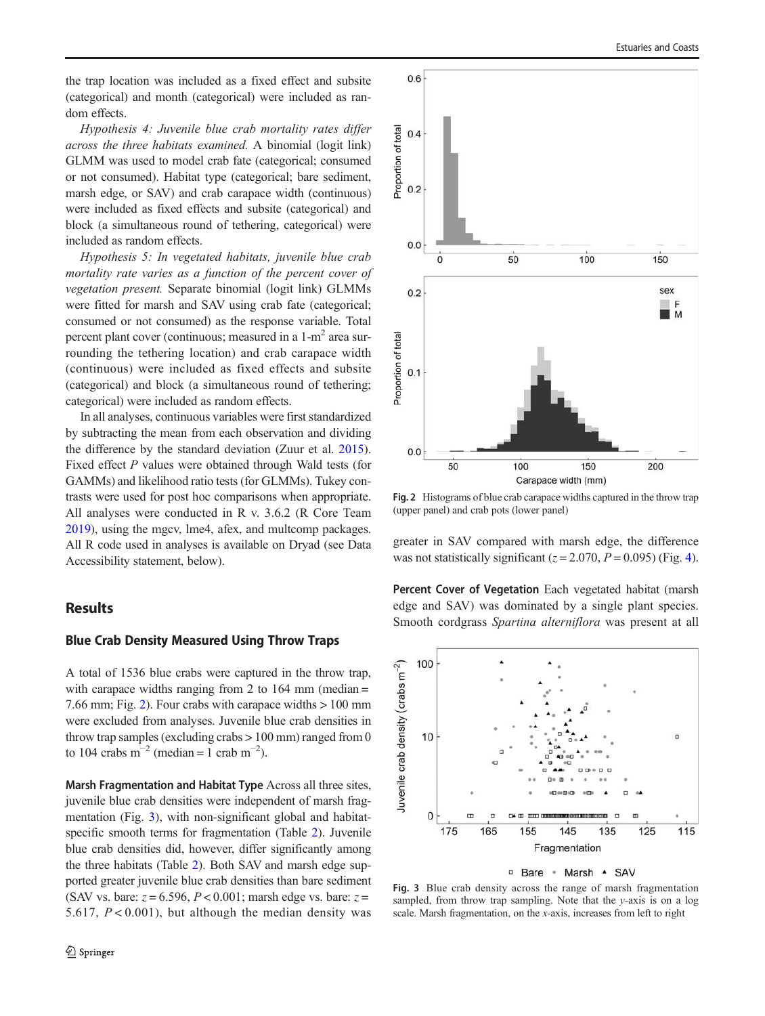<span id="page-5-0"></span>the trap location was included as a fixed effect and subsite (categorical) and month (categorical) were included as random effects.

Hypothesis 4: Juvenile blue crab mortality rates differ across the three habitats examined. A binomial (logit link) GLMM was used to model crab fate (categorical; consumed or not consumed). Habitat type (categorical; bare sediment, marsh edge, or SAV) and crab carapace width (continuous) were included as fixed effects and subsite (categorical) and block (a simultaneous round of tethering, categorical) were included as random effects.

Hypothesis 5: In vegetated habitats, juvenile blue crab mortality rate varies as a function of the percent cover of vegetation present. Separate binomial (logit link) GLMMs were fitted for marsh and SAV using crab fate (categorical; consumed or not consumed) as the response variable. Total percent plant cover (continuous; measured in a  $1-m<sup>2</sup>$  area surrounding the tethering location) and crab carapace width (continuous) were included as fixed effects and subsite (categorical) and block (a simultaneous round of tethering; categorical) were included as random effects.

In all analyses, continuous variables were first standardized by subtracting the mean from each observation and dividing the difference by the standard deviation (Zuur et al. [2015\)](#page-10-0). Fixed effect P values were obtained through Wald tests (for GAMMs) and likelihood ratio tests (for GLMMs). Tukey contrasts were used for post hoc comparisons when appropriate. All analyses were conducted in R v. 3.6.2 (R Core Team [2019\)](#page-10-0), using the mgcv, lme4, afex, and multcomp packages. All R code used in analyses is available on Dryad (see Data Accessibility statement, below).

# **Results**

#### Blue Crab Density Measured Using Throw Traps

A total of 1536 blue crabs were captured in the throw trap, with carapace widths ranging from 2 to  $164 \text{ mm}$  (median = 7.66 mm; Fig. 2). Four crabs with carapace widths > 100 mm were excluded from analyses. Juvenile blue crab densities in throw trap samples (excluding crabs > 100 mm) ranged from 0 to 104 crabs  $m^{-2}$  (median = 1 crab  $m^{-2}$ ).

Marsh Fragmentation and Habitat Type Across all three sites, juvenile blue crab densities were independent of marsh fragmentation (Fig. 3), with non-significant global and habitatspecific smooth terms for fragmentation (Table [2\)](#page-6-0). Juvenile blue crab densities did, however, differ significantly among the three habitats (Table [2\)](#page-6-0). Both SAV and marsh edge supported greater juvenile blue crab densities than bare sediment (SAV vs. bare:  $z = 6.596$ ,  $P < 0.001$ ; marsh edge vs. bare:  $z =$ 5.617,  $P < 0.001$ ), but although the median density was



Fig. 2 Histograms of blue crab carapace widths captured in the throw trap (upper panel) and crab pots (lower panel)

greater in SAV compared with marsh edge, the difference was not statistically significant ( $z = 2.070$ ,  $P = 0.095$ ) (Fig. [4\)](#page-6-0).

Percent Cover of Vegetation Each vegetated habitat (marsh edge and SAV) was dominated by a single plant species. Smooth cordgrass Spartina alterniflora was present at all



□ Bare · Marsh · SAV

Fig. 3 Blue crab density across the range of marsh fragmentation sampled, from throw trap sampling. Note that the y-axis is on a log scale. Marsh fragmentation, on the x-axis, increases from left to right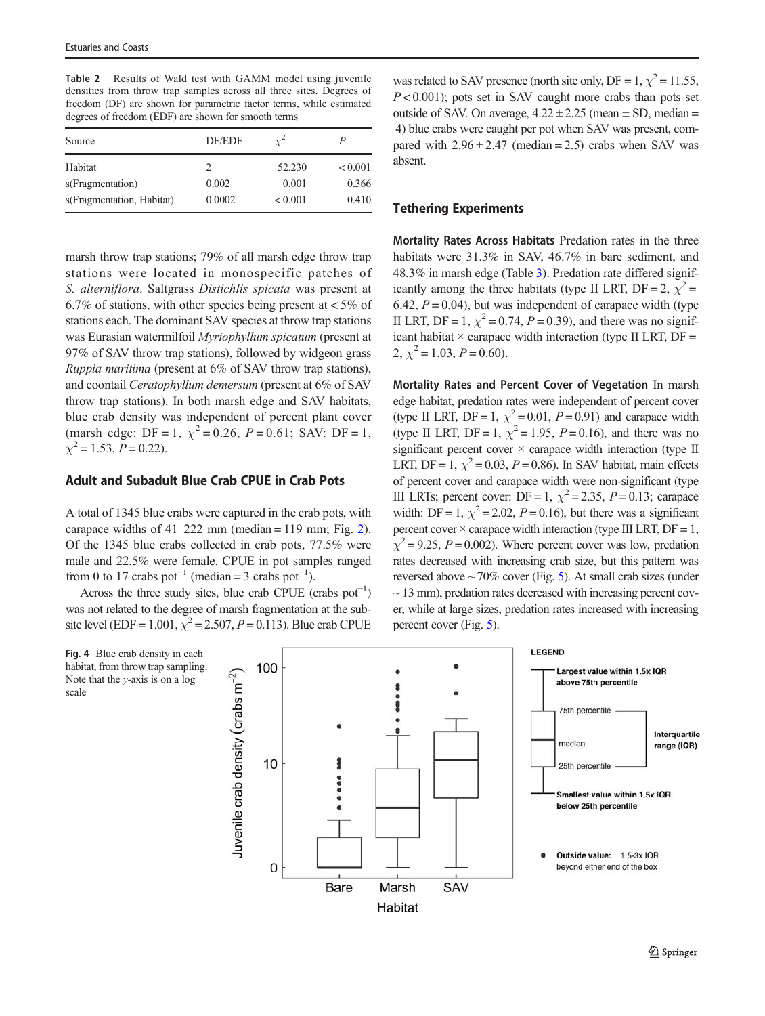<span id="page-6-0"></span>Table 2 Results of Wald test with GAMM model using juvenile densities from throw trap samples across all three sites. Degrees of freedom (DF) are shown for parametric factor terms, while estimated degrees of freedom (EDF) are shown for smooth terms

| Source                    | DF/EDF | $\gamma^2$ | P            |
|---------------------------|--------|------------|--------------|
| Habitat                   |        | 52.230     | ${}_{0.001}$ |
| s(Fragmentation)          | 0.002  | 0.001      | 0.366        |
| s(Fragmentation, Habitat) | 0.0002 | < 0.001    | 0.410        |

marsh throw trap stations; 79% of all marsh edge throw trap stations were located in monospecific patches of S. alterniflora. Saltgrass Distichlis spicata was present at 6.7% of stations, with other species being present at  $< 5\%$  of stations each. The dominant SAV species at throw trap stations was Eurasian watermilfoil Myriophyllum spicatum (present at 97% of SAV throw trap stations), followed by widgeon grass Ruppia maritima (present at 6% of SAV throw trap stations), and coontail Ceratophyllum demersum (present at 6% of SAV throw trap stations). In both marsh edge and SAV habitats, blue crab density was independent of percent plant cover (marsh edge: DF = 1,  $\chi^2$  = 0.26, P = 0.61; SAV: DF = 1,  $\chi^2 = 1.53$ ,  $P = 0.22$ ).

# Adult and Subadult Blue Crab CPUE in Crab Pots

A total of 1345 blue crabs were captured in the crab pots, with carapace widths of  $41-222$  mm (median = 119 mm; Fig. [2\)](#page-5-0). Of the 1345 blue crabs collected in crab pots, 77.5% were male and 22.5% were female. CPUE in pot samples ranged from 0 to 17 crabs pot<sup>-1</sup> (median = 3 crabs pot<sup>-1</sup>).

Across the three study sites, blue crab CPUE (crabs  $pot^{-1}$ ) was not related to the degree of marsh fragmentation at the subsite level (EDF = 1.001,  $\chi^2$  = 2.507, P = 0.113). Blue crab CPUE

Fig. 4 Blue crab density in each habitat, from throw trap sampling. Note that the y-axis is on a log scale

was related to SAV presence (north site only, DF = 1,  $\chi^2$  = 11.55,  $P < 0.001$ ); pots set in SAV caught more crabs than pots set outside of SAV. On average,  $4.22 \pm 2.25$  (mean  $\pm$  SD, median = 4) blue crabs were caught per pot when SAV was present, compared with  $2.96 \pm 2.47$  (median = 2.5) crabs when SAV was absent.

#### Tethering Experiments

Mortality Rates Across Habitats Predation rates in the three habitats were  $31.3\%$  in SAV,  $46.7\%$  in bare sediment, and 48.3% in marsh edge (Table [3](#page-7-0)). Predation rate differed significantly among the three habitats (type II LRT, DF = 2,  $\chi^2$  = 6.42,  $P = 0.04$ ), but was independent of carapace width (type II LRT, DF = 1,  $\chi^2$  = 0.74, P = 0.39), and there was no significant habitat  $\times$  carapace width interaction (type II LRT, DF = 2,  $\chi^2$  = 1.03, P = 0.60).

Mortality Rates and Percent Cover of Vegetation In marsh edge habitat, predation rates were independent of percent cover (type II LRT, DF = 1,  $\chi^2$  = 0.01, P = 0.91) and carapace width (type II LRT, DF = 1,  $\chi^2$  = 1.95, P = 0.16), and there was no significant percent cover  $\times$  carapace width interaction (type II LRT, DF = 1,  $\chi^2$  = 0.03, P = 0.86). In SAV habitat, main effects of percent cover and carapace width were non-significant (type III LRTs; percent cover: DF = 1,  $\chi^2$  = 2.35, P = 0.13; carapace width: DF = 1,  $\chi^2$  = 2.02, P = 0.16), but there was a significant percent cover  $\times$  carapace width interaction (type III LRT, DF = 1,  $\chi^2$  = 9.25, P = 0.002). Where percent cover was low, predation rates decreased with increasing crab size, but this pattern was reversed above  $\sim$  70% cover (Fig. [5](#page-7-0)). At small crab sizes (under  $\sim$  13 mm), predation rates decreased with increasing percent cover, while at large sizes, predation rates increased with increasing percent cover (Fig. [5\)](#page-7-0).

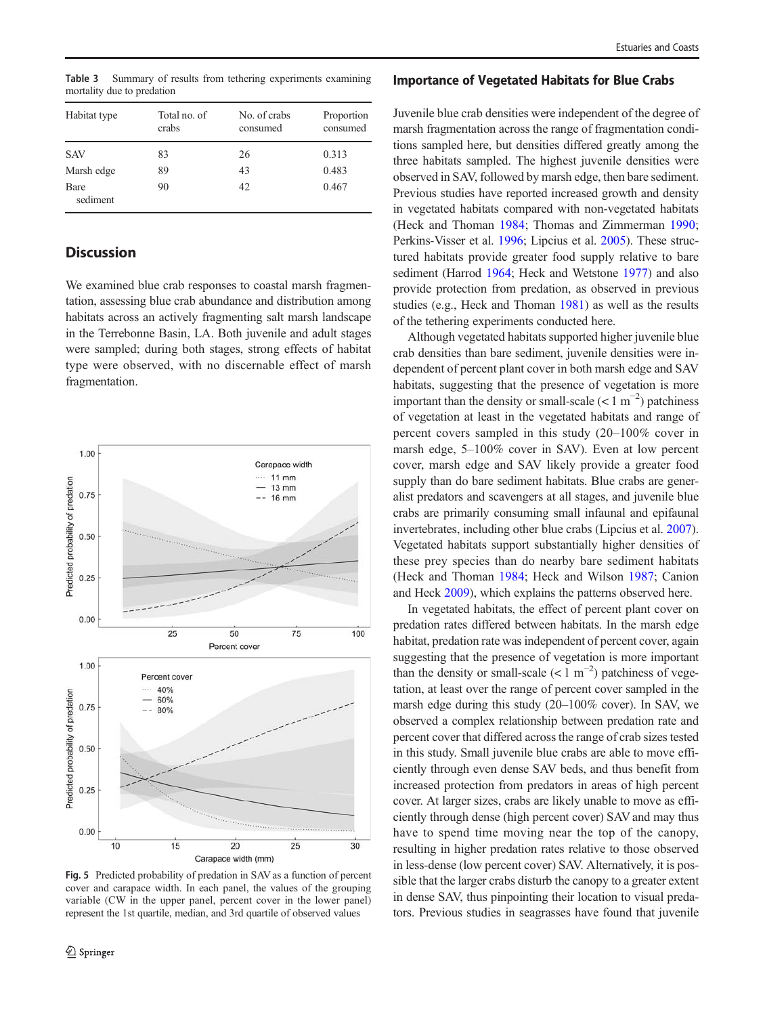<span id="page-7-0"></span>Table 3 Summary of results from tethering experiments examining mortality due to predation

| Habitat type     | Total no. of<br>crabs | No. of crabs<br>consumed | Proportion<br>consumed |
|------------------|-----------------------|--------------------------|------------------------|
| <b>SAV</b>       | 83                    | 26                       | 0.313                  |
| Marsh edge       | 89                    | 43                       | 0.483                  |
| Bare<br>sediment | 90                    | 42                       | 0.467                  |

# **Discussion**

We examined blue crab responses to coastal marsh fragmentation, assessing blue crab abundance and distribution among habitats across an actively fragmenting salt marsh landscape in the Terrebonne Basin, LA. Both juvenile and adult stages were sampled; during both stages, strong effects of habitat type were observed, with no discernable effect of marsh fragmentation.



Fig. 5 Predicted probability of predation in SAV as a function of percent cover and carapace width. In each panel, the values of the grouping variable (CW in the upper panel, percent cover in the lower panel) represent the 1st quartile, median, and 3rd quartile of observed values

#### Importance of Vegetated Habitats for Blue Crabs

Juvenile blue crab densities were independent of the degree of marsh fragmentation across the range of fragmentation conditions sampled here, but densities differed greatly among the three habitats sampled. The highest juvenile densities were observed in SAV, followed by marsh edge, then bare sediment. Previous studies have reported increased growth and density in vegetated habitats compared with non-vegetated habitats (Heck and Thoman [1984;](#page-9-0) Thomas and Zimmerman [1990;](#page-10-0) Perkins-Visser et al. [1996](#page-10-0); Lipcius et al. [2005](#page-10-0)). These structured habitats provide greater food supply relative to bare sediment (Harrod [1964](#page-9-0); Heck and Wetstone [1977\)](#page-9-0) and also provide protection from predation, as observed in previous studies (e.g., Heck and Thoman [1981](#page-9-0)) as well as the results of the tethering experiments conducted here.

Although vegetated habitats supported higher juvenile blue crab densities than bare sediment, juvenile densities were independent of percent plant cover in both marsh edge and SAV habitats, suggesting that the presence of vegetation is more important than the density or small-scale  $(< 1 \text{ m}^{-2})$  patchiness of vegetation at least in the vegetated habitats and range of percent covers sampled in this study (20–100% cover in marsh edge, 5–100% cover in SAV). Even at low percent cover, marsh edge and SAV likely provide a greater food supply than do bare sediment habitats. Blue crabs are generalist predators and scavengers at all stages, and juvenile blue crabs are primarily consuming small infaunal and epifaunal invertebrates, including other blue crabs (Lipcius et al. [2007\)](#page-10-0). Vegetated habitats support substantially higher densities of these prey species than do nearby bare sediment habitats (Heck and Thoman [1984](#page-9-0); Heck and Wilson [1987](#page-9-0); Canion and Heck [2009\)](#page-9-0), which explains the patterns observed here.

In vegetated habitats, the effect of percent plant cover on predation rates differed between habitats. In the marsh edge habitat, predation rate was independent of percent cover, again suggesting that the presence of vegetation is more important than the density or small-scale  $(< 1 \text{ m}^{-2})$  patchiness of vegetation, at least over the range of percent cover sampled in the marsh edge during this study (20–100% cover). In SAV, we observed a complex relationship between predation rate and percent cover that differed across the range of crab sizes tested in this study. Small juvenile blue crabs are able to move efficiently through even dense SAV beds, and thus benefit from increased protection from predators in areas of high percent cover. At larger sizes, crabs are likely unable to move as efficiently through dense (high percent cover) SAV and may thus have to spend time moving near the top of the canopy, resulting in higher predation rates relative to those observed in less-dense (low percent cover) SAV. Alternatively, it is possible that the larger crabs disturb the canopy to a greater extent in dense SAV, thus pinpointing their location to visual predators. Previous studies in seagrasses have found that juvenile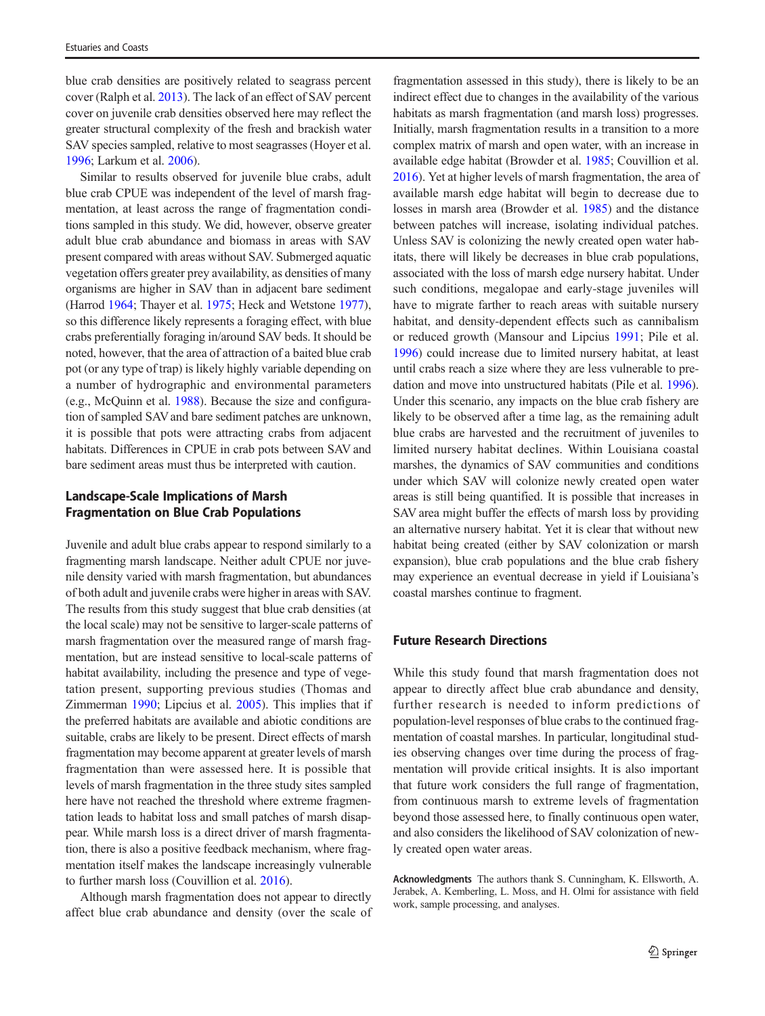blue crab densities are positively related to seagrass percent cover (Ralph et al. [2013\)](#page-10-0). The lack of an effect of SAV percent cover on juvenile crab densities observed here may reflect the greater structural complexity of the fresh and brackish water SAV species sampled, relative to most seagrasses (Hoyer et al. [1996;](#page-9-0) Larkum et al. [2006](#page-10-0)).

Similar to results observed for juvenile blue crabs, adult blue crab CPUE was independent of the level of marsh fragmentation, at least across the range of fragmentation conditions sampled in this study. We did, however, observe greater adult blue crab abundance and biomass in areas with SAV present compared with areas without SAV. Submerged aquatic vegetation offers greater prey availability, as densities of many organisms are higher in SAV than in adjacent bare sediment (Harrod [1964;](#page-9-0) Thayer et al. [1975](#page-10-0); Heck and Wetstone [1977\)](#page-9-0), so this difference likely represents a foraging effect, with blue crabs preferentially foraging in/around SAV beds. It should be noted, however, that the area of attraction of a baited blue crab pot (or any type of trap) is likely highly variable depending on a number of hydrographic and environmental parameters (e.g., McQuinn et al. [1988\)](#page-10-0). Because the size and configuration of sampled SAV and bare sediment patches are unknown, it is possible that pots were attracting crabs from adjacent habitats. Differences in CPUE in crab pots between SAV and bare sediment areas must thus be interpreted with caution.

# Landscape-Scale Implications of Marsh Fragmentation on Blue Crab Populations

Juvenile and adult blue crabs appear to respond similarly to a fragmenting marsh landscape. Neither adult CPUE nor juvenile density varied with marsh fragmentation, but abundances of both adult and juvenile crabs were higher in areas with SAV. The results from this study suggest that blue crab densities (at the local scale) may not be sensitive to larger-scale patterns of marsh fragmentation over the measured range of marsh fragmentation, but are instead sensitive to local-scale patterns of habitat availability, including the presence and type of vegetation present, supporting previous studies (Thomas and Zimmerman [1990](#page-10-0); Lipcius et al. [2005\)](#page-10-0). This implies that if the preferred habitats are available and abiotic conditions are suitable, crabs are likely to be present. Direct effects of marsh fragmentation may become apparent at greater levels of marsh fragmentation than were assessed here. It is possible that levels of marsh fragmentation in the three study sites sampled here have not reached the threshold where extreme fragmentation leads to habitat loss and small patches of marsh disappear. While marsh loss is a direct driver of marsh fragmentation, there is also a positive feedback mechanism, where fragmentation itself makes the landscape increasingly vulnerable to further marsh loss (Couvillion et al. [2016](#page-9-0)).

Although marsh fragmentation does not appear to directly affect blue crab abundance and density (over the scale of

fragmentation assessed in this study), there is likely to be an indirect effect due to changes in the availability of the various habitats as marsh fragmentation (and marsh loss) progresses. Initially, marsh fragmentation results in a transition to a more complex matrix of marsh and open water, with an increase in available edge habitat (Browder et al. [1985](#page-9-0); Couvillion et al. [2016\)](#page-9-0). Yet at higher levels of marsh fragmentation, the area of available marsh edge habitat will begin to decrease due to losses in marsh area (Browder et al. [1985](#page-9-0)) and the distance between patches will increase, isolating individual patches. Unless SAV is colonizing the newly created open water habitats, there will likely be decreases in blue crab populations, associated with the loss of marsh edge nursery habitat. Under such conditions, megalopae and early-stage juveniles will have to migrate farther to reach areas with suitable nursery habitat, and density-dependent effects such as cannibalism or reduced growth (Mansour and Lipcius [1991](#page-10-0); Pile et al. [1996\)](#page-10-0) could increase due to limited nursery habitat, at least until crabs reach a size where they are less vulnerable to predation and move into unstructured habitats (Pile et al. [1996\)](#page-10-0). Under this scenario, any impacts on the blue crab fishery are likely to be observed after a time lag, as the remaining adult blue crabs are harvested and the recruitment of juveniles to limited nursery habitat declines. Within Louisiana coastal marshes, the dynamics of SAV communities and conditions under which SAV will colonize newly created open water areas is still being quantified. It is possible that increases in SAV area might buffer the effects of marsh loss by providing an alternative nursery habitat. Yet it is clear that without new habitat being created (either by SAV colonization or marsh expansion), blue crab populations and the blue crab fishery may experience an eventual decrease in yield if Louisiana's coastal marshes continue to fragment.

# Future Research Directions

While this study found that marsh fragmentation does not appear to directly affect blue crab abundance and density, further research is needed to inform predictions of population-level responses of blue crabs to the continued fragmentation of coastal marshes. In particular, longitudinal studies observing changes over time during the process of fragmentation will provide critical insights. It is also important that future work considers the full range of fragmentation, from continuous marsh to extreme levels of fragmentation beyond those assessed here, to finally continuous open water, and also considers the likelihood of SAV colonization of newly created open water areas.

Acknowledgments The authors thank S. Cunningham, K. Ellsworth, A. Jerabek, A. Kemberling, L. Moss, and H. Olmi for assistance with field work, sample processing, and analyses.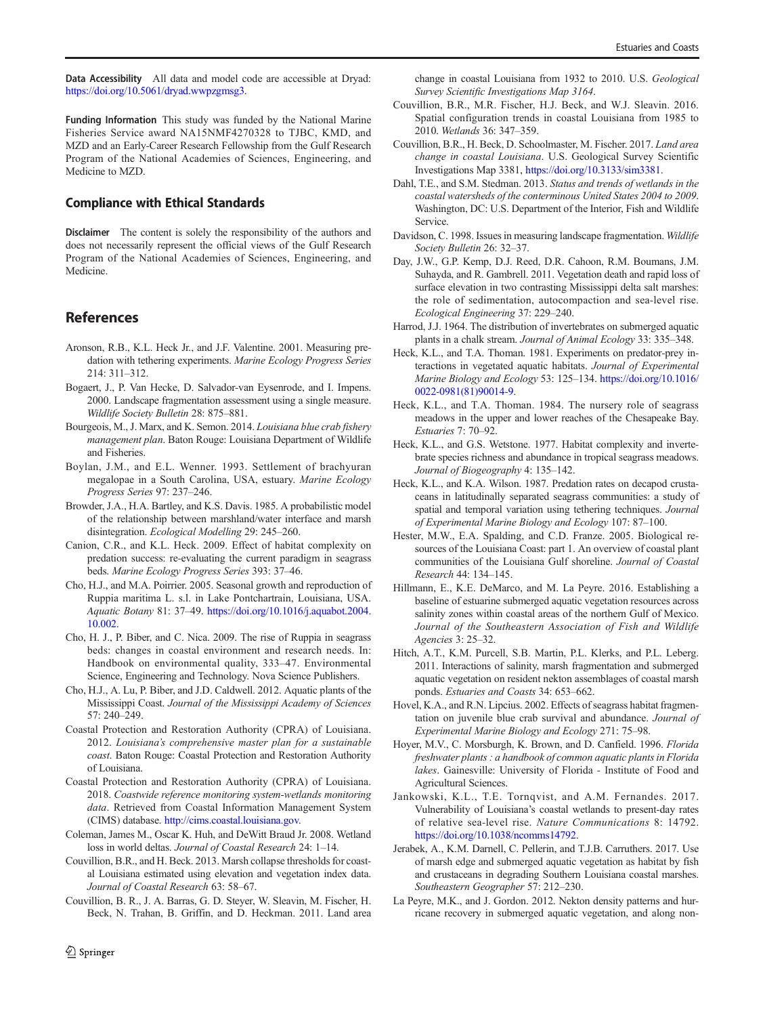<span id="page-9-0"></span>Data Accessibility All data and model code are accessible at Dryad: <https://doi.org/10.5061/dryad.wwpzgmsg3>.

Funding Information This study was funded by the National Marine Fisheries Service award NA15NMF4270328 to TJBC, KMD, and MZD and an Early-Career Research Fellowship from the Gulf Research Program of the National Academies of Sciences, Engineering, and Medicine to MZD.

# Compliance with Ethical Standards

Disclaimer The content is solely the responsibility of the authors and does not necessarily represent the official views of the Gulf Research Program of the National Academies of Sciences, Engineering, and Medicine.

# References

- Aronson, R.B., K.L. Heck Jr., and J.F. Valentine. 2001. Measuring predation with tethering experiments. Marine Ecology Progress Series 214: 311–312.
- Bogaert, J., P. Van Hecke, D. Salvador-van Eysenrode, and I. Impens. 2000. Landscape fragmentation assessment using a single measure. Wildlife Society Bulletin 28: 875–881.
- Bourgeois, M., J. Marx, and K. Semon. 2014. Louisiana blue crab fishery management plan. Baton Rouge: Louisiana Department of Wildlife and Fisheries.
- Boylan, J.M., and E.L. Wenner. 1993. Settlement of brachyuran megalopae in a South Carolina, USA, estuary. Marine Ecology Progress Series 97: 237–246.
- Browder, J.A., H.A. Bartley, and K.S. Davis. 1985. A probabilistic model of the relationship between marshland/water interface and marsh disintegration. Ecological Modelling 29: 245–260.
- Canion, C.R., and K.L. Heck. 2009. Effect of habitat complexity on predation success: re-evaluating the current paradigm in seagrass beds. Marine Ecology Progress Series 393: 37–46.
- Cho, H.J., and M.A. Poirrier. 2005. Seasonal growth and reproduction of Ruppia maritima L. s.l. in Lake Pontchartrain, Louisiana, USA. Aquatic Botany 81: 37–49. [https://doi.org/10.1016/j.aquabot.2004.](https://doi.org/10.1016/j.aquabot.2004.10.002) [10.002.](https://doi.org/10.1016/j.aquabot.2004.10.002)
- Cho, H. J., P. Biber, and C. Nica. 2009. The rise of Ruppia in seagrass beds: changes in coastal environment and research needs. In: Handbook on environmental quality, 333–47. Environmental Science, Engineering and Technology. Nova Science Publishers.
- Cho, H.J., A. Lu, P. Biber, and J.D. Caldwell. 2012. Aquatic plants of the Mississippi Coast. Journal of the Mississippi Academy of Sciences 57: 240–249.
- Coastal Protection and Restoration Authority (CPRA) of Louisiana. 2012. Louisiana's comprehensive master plan for a sustainable coast. Baton Rouge: Coastal Protection and Restoration Authority of Louisiana.
- Coastal Protection and Restoration Authority (CPRA) of Louisiana. 2018. Coastwide reference monitoring system-wetlands monitoring data. Retrieved from Coastal Information Management System (CIMS) database. [http://cims.coastal.louisiana.gov.](https://doi.org/10.5061/dryad.wwpzgmsg3)
- Coleman, James M., Oscar K. Huh, and DeWitt Braud Jr. 2008. Wetland loss in world deltas. Journal of Coastal Research 24: 1–14.
- Couvillion, B.R., and H. Beck. 2013. Marsh collapse thresholds for coastal Louisiana estimated using elevation and vegetation index data. Journal of Coastal Research 63: 58–67.
- Couvillion, B. R., J. A. Barras, G. D. Steyer, W. Sleavin, M. Fischer, H. Beck, N. Trahan, B. Griffin, and D. Heckman. 2011. Land area

change in coastal Louisiana from 1932 to 2010. U.S. Geological Survey Scientific Investigations Map 3164.

- Couvillion, B.R., M.R. Fischer, H.J. Beck, and W.J. Sleavin. 2016. Spatial configuration trends in coastal Louisiana from 1985 to 2010. Wetlands 36: 347–359.
- Couvillion, B.R., H. Beck, D. Schoolmaster, M. Fischer. 2017. Land area change in coastal Louisiana. U.S. Geological Survey Scientific Investigations Map 3381, [https://doi.org/10.3133/sim3381.](https://doi.org/10.3133/sim3381)
- Dahl, T.E., and S.M. Stedman. 2013. Status and trends of wetlands in the coastal watersheds of the conterminous United States 2004 to 2009. Washington, DC: U.S. Department of the Interior, Fish and Wildlife Service.
- Davidson, C. 1998. Issues in measuring landscape fragmentation. Wildlife Society Bulletin 26: 32–37.
- Day, J.W., G.P. Kemp, D.J. Reed, D.R. Cahoon, R.M. Boumans, J.M. Suhayda, and R. Gambrell. 2011. Vegetation death and rapid loss of surface elevation in two contrasting Mississippi delta salt marshes: the role of sedimentation, autocompaction and sea-level rise. Ecological Engineering 37: 229–240.
- Harrod, J.J. 1964. The distribution of invertebrates on submerged aquatic plants in a chalk stream. Journal of Animal Ecology 33: 335–348.
- Heck, K.L., and T.A. Thoman. 1981. Experiments on predator-prey interactions in vegetated aquatic habitats. Journal of Experimental Marine Biology and Ecology 53: 125–134. [https://doi.org/10.1016/](https://doi.org/10.1016/0022-0981(81)90014-9) [0022-0981\(81\)90014-9.](https://doi.org/10.1016/0022-0981(81)90014-9)
- Heck, K.L., and T.A. Thoman. 1984. The nursery role of seagrass meadows in the upper and lower reaches of the Chesapeake Bay. Estuaries 7: 70–92.
- Heck, K.L., and G.S. Wetstone. 1977. Habitat complexity and invertebrate species richness and abundance in tropical seagrass meadows. Journal of Biogeography 4: 135–142.
- Heck, K.L., and K.A. Wilson. 1987. Predation rates on decapod crustaceans in latitudinally separated seagrass communities: a study of spatial and temporal variation using tethering techniques. Journal of Experimental Marine Biology and Ecology 107: 87–100.
- Hester, M.W., E.A. Spalding, and C.D. Franze. 2005. Biological resources of the Louisiana Coast: part 1. An overview of coastal plant communities of the Louisiana Gulf shoreline. Journal of Coastal Research 44: 134–145.
- Hillmann, E., K.E. DeMarco, and M. La Peyre. 2016. Establishing a baseline of estuarine submerged aquatic vegetation resources across salinity zones within coastal areas of the northern Gulf of Mexico. Journal of the Southeastern Association of Fish and Wildlife Agencies 3: 25–32.
- Hitch, A.T., K.M. Purcell, S.B. Martin, P.L. Klerks, and P.L. Leberg. 2011. Interactions of salinity, marsh fragmentation and submerged aquatic vegetation on resident nekton assemblages of coastal marsh ponds. Estuaries and Coasts 34: 653–662.
- Hovel, K.A., and R.N. Lipcius. 2002. Effects of seagrass habitat fragmentation on juvenile blue crab survival and abundance. Journal of Experimental Marine Biology and Ecology 271: 75–98.
- Hoyer, M.V., C. Morsburgh, K. Brown, and D. Canfield. 1996. Florida freshwater plants : a handbook of common aquatic plants in Florida lakes. Gainesville: University of Florida - Institute of Food and Agricultural Sciences.
- Jankowski, K.L., T.E. Tornqvist, and A.M. Fernandes. 2017. Vulnerability of Louisiana's coastal wetlands to present-day rates of relative sea-level rise. Nature Communications 8: 14792. [https://doi.org/10.1038/ncomms14792.](https://doi.org/10.1038/ncomms14792)
- Jerabek, A., K.M. Darnell, C. Pellerin, and T.J.B. Carruthers. 2017. Use of marsh edge and submerged aquatic vegetation as habitat by fish and crustaceans in degrading Southern Louisiana coastal marshes. Southeastern Geographer 57: 212–230.
- La Peyre, M.K., and J. Gordon. 2012. Nekton density patterns and hurricane recovery in submerged aquatic vegetation, and along non-